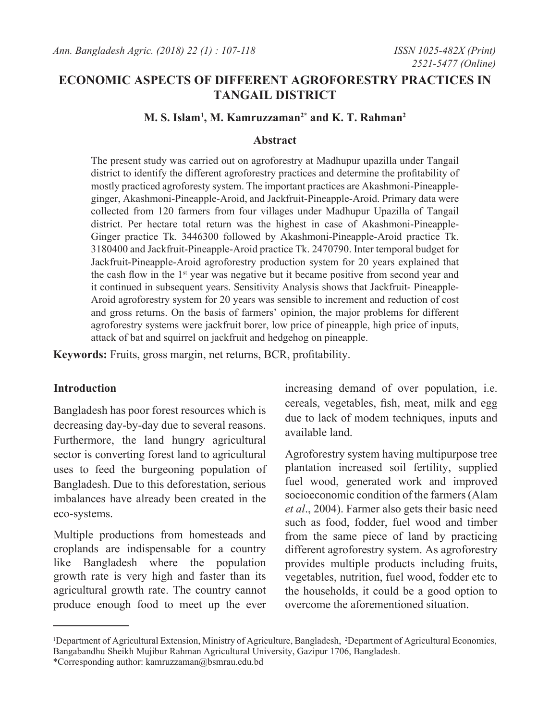# **ECONOMIC ASPECTS OF DIFFERENT AGROFORESTRY PRACTICES IN TANGAIL DISTRICT**

# **M. S. Islam1 , M. Kamruzzaman2\* and K. T. Rahman2**

#### **Abstract**

The present study was carried out on agroforestry at Madhupur upazilla under Tangail district to identify the different agroforestry practices and determine the profitability of mostly practiced agroforesty system. The important practices are Akashmoni-Pineappleginger, Akashmoni-Pineapple-Aroid, and Jackfruit-Pineapple-Aroid. Primary data were collected from 120 farmers from four villages under Madhupur Upazilla of Tangail district. Per hectare total return was the highest in case of Akashmoni-Pineapple-Ginger practice Tk. 3446300 followed by Akashmoni-Pineapple-Aroid practice Tk. 3180400 and Jackfruit-Pineapple-Aroid practice Tk. 2470790. Inter temporal budget for Jackfruit-Pineapple-Aroid agroforestry production system for 20 years explained that the cash flow in the 1<sup>st</sup> year was negative but it became positive from second year and it continued in subsequent years. Sensitivity Analysis shows that Jackfruit- Pineapple-Aroid agroforestry system for 20 years was sensible to increment and reduction of cost and gross returns. On the basis of farmers' opinion, the major problems for different agroforestry systems were jackfruit borer, low price of pineapple, high price of inputs, attack of bat and squirrel on jackfruit and hedgehog on pineapple.

**Keywords:** Fruits, gross margin, net returns, BCR, profitability.

## **Introduction**

Bangladesh has poor forest resources which is decreasing day-by-day due to several reasons. Furthermore, the land hungry agricultural sector is converting forest land to agricultural uses to feed the burgeoning population of Bangladesh. Due to this deforestation, serious imbalances have already been created in the eco-systems.

Multiple productions from homesteads and croplands are indispensable for a country like Bangladesh where the population growth rate is very high and faster than its agricultural growth rate. The country cannot produce enough food to meet up the ever increasing demand of over population, i.e. cereals, vegetables, fish, meat, milk and egg due to lack of modem techniques, inputs and available land.

Agroforestry system having multipurpose tree plantation increased soil fertility, supplied fuel wood, generated work and improved socioeconomic condition of the farmers (Alam *et al*., 2004). Farmer also gets their basic need such as food, fodder, fuel wood and timber from the same piece of land by practicing different agroforestry system. As agroforestry provides multiple products including fruits, vegetables, nutrition, fuel wood, fodder etc to the households, it could be a good option to overcome the aforementioned situation.

<sup>&</sup>lt;sup>1</sup>Department of Agricultural Extension, Ministry of Agriculture, Bangladesh, <sup>2</sup>Department of Agricultural Economics, Bangabandhu Sheikh Mujibur Rahman Agricultural University, Gazipur 1706, Bangladesh.

<sup>\*</sup>Corresponding author: kamruzzaman@bsmrau.edu.bd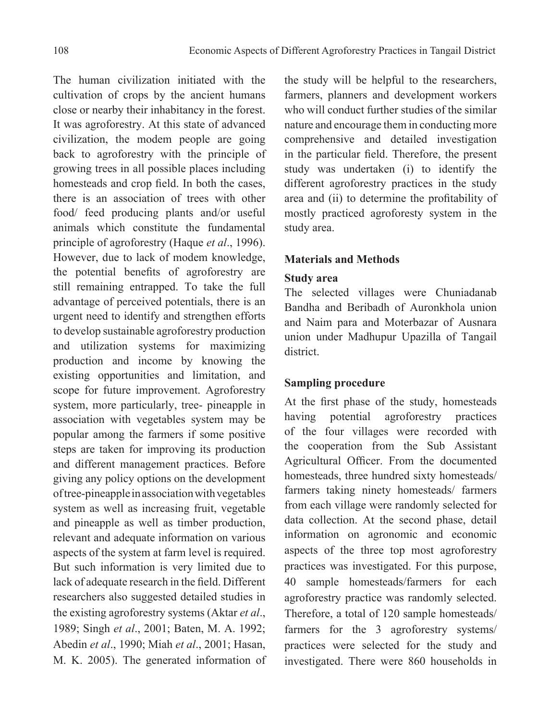The human civilization initiated with the cultivation of crops by the ancient humans close or nearby their inhabitancy in the forest. It was agroforestry. At this state of advanced civilization, the modem people are going back to agroforestry with the principle of growing trees in all possible places including homesteads and crop field. In both the cases, there is an association of trees with other food/ feed producing plants and/or useful animals which constitute the fundamental principle of agroforestry (Haque *et al*., 1996). However, due to lack of modem knowledge, the potential benefits of agroforestry are still remaining entrapped. To take the full advantage of perceived potentials, there is an urgent need to identify and strengthen efforts to develop sustainable agroforestry production and utilization systems for maximizing production and income by knowing the existing opportunities and limitation, and scope for future improvement. Agroforestry system, more particularly, tree- pineapple in association with vegetables system may be popular among the farmers if some positive steps are taken for improving its production and different management practices. Before giving any policy options on the development of tree-pineapple in association with vegetables system as well as increasing fruit, vegetable and pineapple as well as timber production, relevant and adequate information on various aspects of the system at farm level is required. But such information is very limited due to lack of adequate research in the field. Different researchers also suggested detailed studies in the existing agroforestry systems (Aktar *et al*., 1989; Singh *et al*., 2001; Baten, M. A. 1992; Abedin *et al*., 1990; Miah *et al*., 2001; Hasan, M. K. 2005). The generated information of

the study will be helpful to the researchers, farmers, planners and development workers who will conduct further studies of the similar nature and encourage them in conducting more comprehensive and detailed investigation in the particular field. Therefore, the present study was undertaken (i) to identify the different agroforestry practices in the study area and (ii) to determine the profitability of mostly practiced agroforesty system in the study area.

## **Materials and Methods**

# **Study area**

The selected villages were Chuniadanab Bandha and Beribadh of Auronkhola union and Naim para and Moterbazar of Ausnara union under Madhupur Upazilla of Tangail district.

## **Sampling procedure**

At the first phase of the study, homesteads having potential agroforestry practices of the four villages were recorded with the cooperation from the Sub Assistant Agricultural Officer. From the documented homesteads, three hundred sixty homesteads/ farmers taking ninety homesteads/ farmers from each village were randomly selected for data collection. At the second phase, detail information on agronomic and economic aspects of the three top most agroforestry practices was investigated. For this purpose, 40 sample homesteads/farmers for each agroforestry practice was randomly selected. Therefore, a total of 120 sample homesteads/ farmers for the 3 agroforestry systems/ practices were selected for the study and investigated. There were 860 households in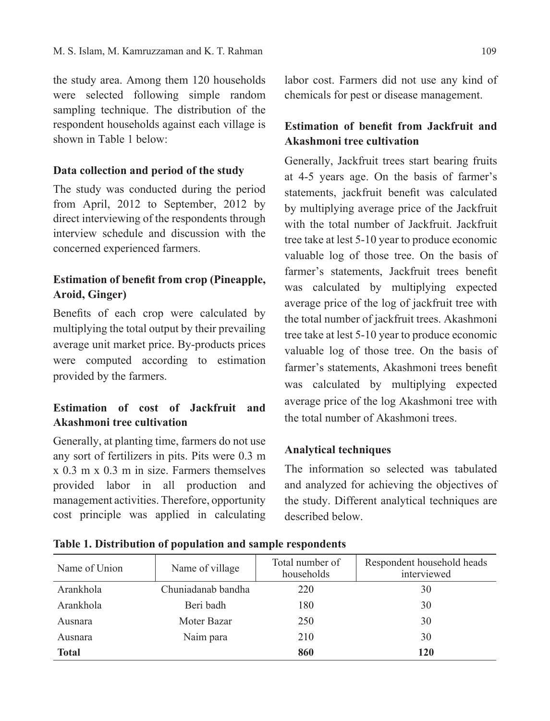the study area. Among them 120 households were selected following simple random sampling technique. The distribution of the respondent households against each village is shown in Table 1 below:

## **Data collection and period of the study**

The study was conducted during the period from April, 2012 to September, 2012 by direct interviewing of the respondents through interview schedule and discussion with the concerned experienced farmers.

# **Estimation of benefit from crop (Pineapple, Aroid, Ginger)**

Benefits of each crop were calculated by multiplying the total output by their prevailing average unit market price. By-products prices were computed according to estimation provided by the farmers.

# **Estimation of cost of Jackfruit and Akashmoni tree cultivation**

Generally, at planting time, farmers do not use any sort of fertilizers in pits. Pits were 0.3 m x 0.3 m x 0.3 m in size. Farmers themselves provided labor in all production and management activities. Therefore, opportunity cost principle was applied in calculating labor cost. Farmers did not use any kind of chemicals for pest or disease management.

# **Estimation of benefit from Jackfruit and Akashmoni tree cultivation**

Generally, Jackfruit trees start bearing fruits at 4-5 years age. On the basis of farmer's statements, jackfruit benefit was calculated by multiplying average price of the Jackfruit with the total number of Jackfruit. Jackfruit tree take at lest 5-10 year to produce economic valuable log of those tree. On the basis of farmer's statements, Jackfruit trees benefit was calculated by multiplying expected average price of the log of jackfruit tree with the total number of jackfruit trees. Akashmoni tree take at lest 5-10 year to produce economic valuable log of those tree. On the basis of farmer's statements, Akashmoni trees benefit was calculated by multiplying expected average price of the log Akashmoni tree with the total number of Akashmoni trees.

## **Analytical techniques**

The information so selected was tabulated and analyzed for achieving the objectives of the study. Different analytical techniques are described below.

| Name of Union | Name of village    | Total number of<br>households | Respondent household heads<br>interviewed |
|---------------|--------------------|-------------------------------|-------------------------------------------|
| Arankhola     | Chuniadanab bandha | 220                           | 30                                        |
| Arankhola     | Beri badh          | 180                           | 30                                        |
| Ausnara       | Moter Bazar        | 250                           | 30                                        |
| Ausnara       | Naim para          | 210                           | 30                                        |
| <b>Total</b>  |                    | 860                           | <b>120</b>                                |

**Table 1. Distribution of population and sample respondents**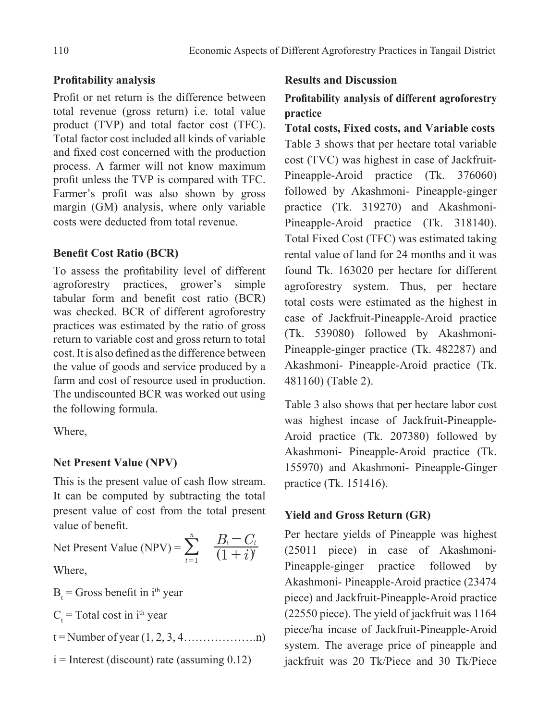# **Profitability analysis**

Profit or net return is the difference between total revenue (gross return) i.e. total value product (TVP) and total factor cost (TFC). Total factor cost included all kinds of variable and fixed cost concerned with the production process. A farmer will not know maximum profit unless the TVP is compared with TFC. Farmer's profit was also shown by gross margin (GM) analysis, where only variable costs were deducted from total revenue.

# **Benefit Cost Ratio (BCR)**

To assess the profitability level of different agroforestry practices, grower's simple tabular form and benefit cost ratio (BCR) was checked. BCR of different agroforestry practices was estimated by the ratio of gross return to variable cost and gross return to total cost. It is also defined as the difference between the value of goods and service produced by a farm and cost of resource used in production. The undiscounted BCR was worked out using the following formula.

Where,

# **Net Present Value (NPV)**

This is the present value of cash flow stream. It can be computed by subtracting the total present value of cost from the total present value of benefit.

Net Present Value (NPV) =  $\sum_{i=1}$   $\frac{B_i}{(1+i)^2}$  $B_t$  –  $C$  $1 + i$ <sup>y</sup> *t t t n*  $\frac{1}{1}$   $(1 +$  $\sum_{t=1}^n$   $\frac{B_t-C_t}{(1+i)}$ 

Where,

 $B_t$  = Gross benefit in i<sup>th</sup> year

 $C_t$  = Total cost in i<sup>th</sup> year

 $t =$  Number of year  $(1, 2, 3, 4, \ldots, n)$ 

$$
i =
$$
Interest (discount) rate (assuming 0.12)

## **Results and Discussion**

# **Profitability analysis of different agroforestry practice**

**Total costs, Fixed costs, and Variable costs** Table 3 shows that per hectare total variable cost (TVC) was highest in case of Jackfruit-Pineapple-Aroid practice (Tk. 376060) followed by Akashmoni- Pineapple-ginger practice (Tk. 319270) and Akashmoni-Pineapple-Aroid practice (Tk. 318140). Total Fixed Cost (TFC) was estimated taking rental value of land for 24 months and it was found Tk. 163020 per hectare for different agroforestry system. Thus, per hectare total costs were estimated as the highest in case of Jackfruit-Pineapple-Aroid practice (Tk. 539080) followed by Akashmoni-Pineapple-ginger practice (Tk. 482287) and Akashmoni- Pineapple-Aroid practice (Tk. 481160) (Table 2).

Table 3 also shows that per hectare labor cost was highest incase of Jackfruit-Pineapple-Aroid practice (Tk. 207380) followed by Akashmoni- Pineapple-Aroid practice (Tk. 155970) and Akashmoni- Pineapple-Ginger practice (Tk. 151416).

# **Yield and Gross Return (GR)**

Per hectare yields of Pineapple was highest (25011 piece) in case of Akashmoni-Pineapple-ginger practice followed by Akashmoni- Pineapple-Aroid practice (23474 piece) and Jackfruit-Pineapple-Aroid practice (22550 piece). The yield of jackfruit was 1164 piece/ha incase of Jackfruit-Pineapple-Aroid system. The average price of pineapple and jackfruit was 20 Tk/Piece and 30 Tk/Piece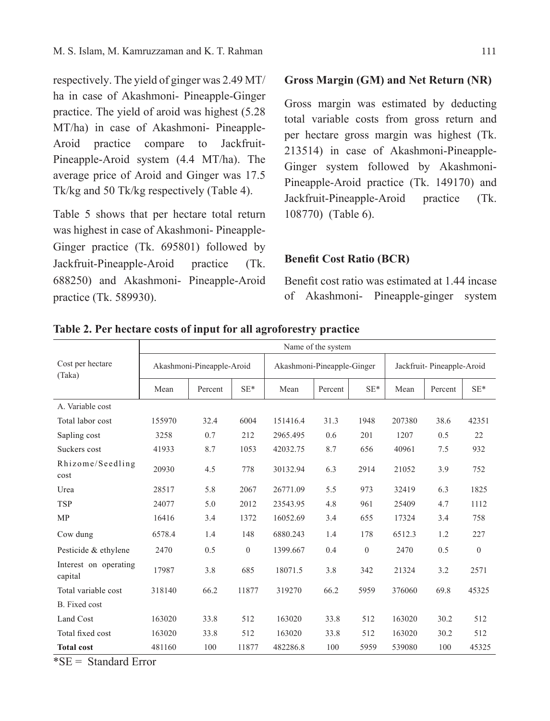respectively. The yield of ginger was 2.49 MT/ ha in case of Akashmoni- Pineapple-Ginger practice. The yield of aroid was highest (5.28 MT/ha) in case of Akashmoni- Pineapple-Aroid practice compare to Jackfruit-Pineapple-Aroid system (4.4 MT/ha). The average price of Aroid and Ginger was 17.5 Tk/kg and 50 Tk/kg respectively (Table 4).

Table 5 shows that per hectare total return was highest in case of Akashmoni- Pineapple-Ginger practice (Tk. 695801) followed by Jackfruit-Pineapple-Aroid practice (Tk. 688250) and Akashmoni- Pineapple-Aroid practice (Tk. 589930).

## **Gross Margin (GM) and Net Return (NR)**

Gross margin was estimated by deducting total variable costs from gross return and per hectare gross margin was highest (Tk. 213514) in case of Akashmoni-Pineapple-Ginger system followed by Akashmoni-Pineapple-Aroid practice (Tk. 149170) and Jackfruit-Pineapple-Aroid practice (Tk. 108770) (Table 6).

#### **Benefit Cost Ratio (BCR)**

Benefit cost ratio was estimated at 1.44 incase of Akashmoni- Pineapple-ginger system

|                                  | Name of the system |                           |              |                            |         |          |                           |         |                |  |
|----------------------------------|--------------------|---------------------------|--------------|----------------------------|---------|----------|---------------------------|---------|----------------|--|
| Cost per hectare<br>(Taka)       |                    | Akashmoni-Pineapple-Aroid |              | Akashmoni-Pineapple-Ginger |         |          | Jackfruit-Pineapple-Aroid |         |                |  |
|                                  | Mean               | Percent                   | $SE*$        | Mean                       | Percent | $SE*$    | Mean                      | Percent | $SE*$          |  |
| A. Variable cost                 |                    |                           |              |                            |         |          |                           |         |                |  |
| Total labor cost                 | 155970             | 32.4                      | 6004         | 151416.4                   | 31.3    | 1948     | 207380                    | 38.6    | 42351          |  |
| Sapling cost                     | 3258               | 0.7                       | 212          | 2965.495                   | 0.6     | 201      | 1207                      | 0.5     | 22             |  |
| Suckers cost                     | 41933              | 8.7                       | 1053         | 42032.75                   | 8.7     | 656      | 40961                     | 7.5     | 932            |  |
| Rhizome/Seedling<br>cost         | 20930              | 4.5                       | 778          | 30132.94                   | 6.3     | 2914     | 21052                     | 3.9     | 752            |  |
| Urea                             | 28517              | 5.8                       | 2067         | 26771.09                   | 5.5     | 973      | 32419                     | 6.3     | 1825           |  |
| <b>TSP</b>                       | 24077              | 5.0                       | 2012         | 23543.95                   | 4.8     | 961      | 25409                     | 4.7     | 1112           |  |
| <b>MP</b>                        | 16416              | 3.4                       | 1372         | 16052.69                   | 3.4     | 655      | 17324                     | 3.4     | 758            |  |
| Cow dung                         | 6578.4             | 1.4                       | 148          | 6880.243                   | 1.4     | 178      | 6512.3                    | 1.2     | 227            |  |
| Pesticide & ethylene             | 2470               | 0.5                       | $\mathbf{0}$ | 1399.667                   | 0.4     | $\theta$ | 2470                      | 0.5     | $\overline{0}$ |  |
| Interest on operating<br>capital | 17987              | 3.8                       | 685          | 18071.5                    | 3.8     | 342      | 21324                     | 3.2     | 2571           |  |
| Total variable cost              | 318140             | 66.2                      | 11877        | 319270                     | 66.2    | 5959     | 376060                    | 69.8    | 45325          |  |
| B. Fixed cost                    |                    |                           |              |                            |         |          |                           |         |                |  |
| Land Cost                        | 163020             | 33.8                      | 512          | 163020                     | 33.8    | 512      | 163020                    | 30.2    | 512            |  |
| Total fixed cost                 | 163020             | 33.8                      | 512          | 163020                     | 33.8    | 512      | 163020                    | 30.2    | 512            |  |
| <b>Total cost</b>                | 481160             | 100                       | 11877        | 482286.8                   | 100     | 5959     | 539080                    | 100     | 45325          |  |

**Table 2. Per hectare costs of input for all agroforestry practice**

 $*SE = Standard Error$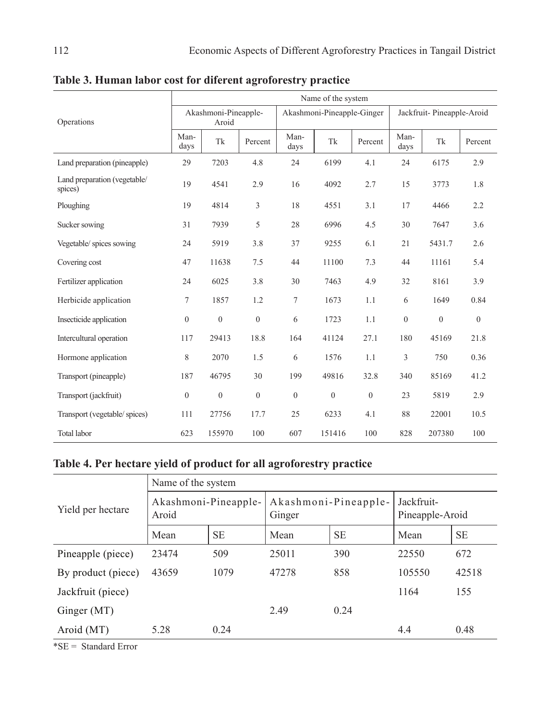|                                         | Name of the system |                               |              |                |                            |              |              |                           |          |  |
|-----------------------------------------|--------------------|-------------------------------|--------------|----------------|----------------------------|--------------|--------------|---------------------------|----------|--|
| Operations                              |                    | Akashmoni-Pineapple-<br>Aroid |              |                | Akashmoni-Pineapple-Ginger |              |              | Jackfruit-Pineapple-Aroid |          |  |
|                                         | Man-<br>days       | Tk                            | Percent      | Man-<br>days   | Tk                         | Percent      | Man-<br>days | Tk                        | Percent  |  |
| Land preparation (pineapple)            | 29                 | 7203                          | 4.8          | 24             | 6199                       | 4.1          | 24           | 6175                      | 2.9      |  |
| Land preparation (vegetable/<br>spices) | 19                 | 4541                          | 2.9          | 16             | 4092                       | 2.7          | 15           | 3773                      | 1.8      |  |
| Ploughing                               | 19                 | 4814                          | 3            | 18             | 4551                       | 3.1          | 17           | 4466                      | 2.2      |  |
| Sucker sowing                           | 31                 | 7939                          | 5            | 28             | 6996                       | 4.5          | 30           | 7647                      | 3.6      |  |
| Vegetable/ spices sowing                | 24                 | 5919                          | 3.8          | 37             | 9255                       | 6.1          | 21           | 5431.7                    | 2.6      |  |
| Covering cost                           | 47                 | 11638                         | 7.5          | 44             | 11100                      | 7.3          | 44           | 11161                     | 5.4      |  |
| Fertilizer application                  | 24                 | 6025                          | 3.8          | 30             | 7463                       | 4.9          | 32           | 8161                      | 3.9      |  |
| Herbicide application                   | 7                  | 1857                          | 1.2          | $\tau$         | 1673                       | 1.1          | 6            | 1649                      | 0.84     |  |
| Insecticide application                 | $\mathbf{0}$       | $\theta$                      | $\mathbf{0}$ | 6              | 1723                       | 1.1          | $\theta$     | $\mathbf{0}$              | $\theta$ |  |
| Intercultural operation                 | 117                | 29413                         | 18.8         | 164            | 41124                      | 27.1         | 180          | 45169                     | 21.8     |  |
| Hormone application                     | 8                  | 2070                          | 1.5          | 6              | 1576                       | 1.1          | 3            | 750                       | 0.36     |  |
| Transport (pineapple)                   | 187                | 46795                         | 30           | 199            | 49816                      | 32.8         | 340          | 85169                     | 41.2     |  |
| Transport (jackfruit)                   | $\boldsymbol{0}$   | $\mathbf{0}$                  | $\mathbf{0}$ | $\overline{0}$ | $\mathbf{0}$               | $\mathbf{0}$ | 23           | 5819                      | 2.9      |  |
| Transport (vegetable/spices)            | 111                | 27756                         | 17.7         | 25             | 6233                       | 4.1          | 88           | 22001                     | 10.5     |  |
| <b>Total labor</b>                      | 623                | 155970                        | 100          | 607            | 151416                     | 100          | 828          | 207380                    | 100      |  |

**Table 3. Human labor cost for diferent agroforestry practice**

# **Table 4. Per hectare yield of product for all agroforestry practice**

|                    | Name of the system            |           |                                |           |                               |           |  |  |  |  |
|--------------------|-------------------------------|-----------|--------------------------------|-----------|-------------------------------|-----------|--|--|--|--|
| Yield per hectare  | Akashmoni-Pineapple-<br>Aroid |           | Akashmoni-Pineapple-<br>Ginger |           | Jackfruit-<br>Pineapple-Aroid |           |  |  |  |  |
|                    | Mean                          | <b>SE</b> | Mean                           | <b>SE</b> | Mean                          | <b>SE</b> |  |  |  |  |
| Pineapple (piece)  | 23474                         | 509       | 25011                          | 390       | 22550                         | 672       |  |  |  |  |
| By product (piece) | 43659                         | 1079      | 47278                          | 858       | 105550                        | 42518     |  |  |  |  |
| Jackfruit (piece)  |                               |           |                                |           | 1164                          | 155       |  |  |  |  |
| Ginger (MT)        |                               |           | 2.49                           | 0.24      |                               |           |  |  |  |  |
| Aroid (MT)         | 5.28                          | 0.24      |                                |           | 4.4                           | 0.48      |  |  |  |  |

\*SE = Standard Error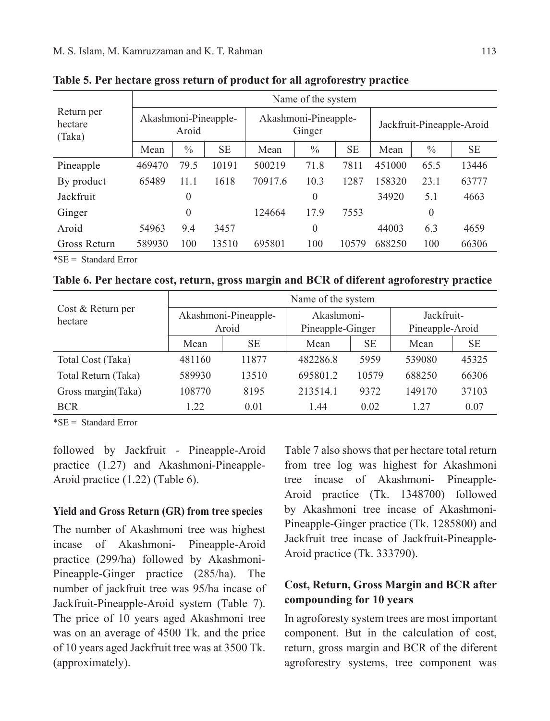|                                 |                               | Name of the system |           |         |                                |           |                           |               |           |  |  |
|---------------------------------|-------------------------------|--------------------|-----------|---------|--------------------------------|-----------|---------------------------|---------------|-----------|--|--|
| Return per<br>hectare<br>(Taka) | Akashmoni-Pineapple-<br>Aroid |                    |           |         | Akashmoni-Pineapple-<br>Ginger |           | Jackfruit-Pineapple-Aroid |               |           |  |  |
|                                 | Mean                          | $\frac{0}{0}$      | <b>SE</b> | Mean    | $\frac{0}{0}$                  | <b>SE</b> | Mean                      | $\frac{0}{0}$ | <b>SE</b> |  |  |
| Pineapple                       | 469470                        | 79.5               | 10191     | 500219  | 71.8                           | 7811      | 451000                    | 65.5          | 13446     |  |  |
| By product                      | 65489                         | 11.1               | 1618      | 70917.6 | 10.3                           | 1287      | 158320                    | 23.1          | 63777     |  |  |
| Jackfruit                       |                               | $\overline{0}$     |           |         | $\theta$                       |           | 34920                     | 5.1           | 4663      |  |  |
| Ginger                          |                               | $\overline{0}$     |           | 124664  | 17.9                           | 7553      |                           | 0             |           |  |  |
| Aroid                           | 54963                         | 9.4                | 3457      |         | $\theta$                       |           | 44003                     | 6.3           | 4659      |  |  |
| Gross Return                    | 589930                        | 100                | 13510     | 695801  | 100                            | 10579     | 688250                    | 100           | 66306     |  |  |

**Table 5. Per hectare gross return of product for all agroforestry practice**

\*SE = Standard Error

**Table 6. Per hectare cost, return, gross margin and BCR of diferent agroforestry practice**

| Cost & Return per<br>hectare | Name of the system   |       |                  |           |                 |       |  |  |  |
|------------------------------|----------------------|-------|------------------|-----------|-----------------|-------|--|--|--|
|                              | Akashmoni-Pineapple- |       | Akashmoni-       |           | Jackfruit-      |       |  |  |  |
|                              | Aroid                |       | Pineapple-Ginger |           | Pineapple-Aroid |       |  |  |  |
|                              | Mean                 | SЕ    | Mean             | <b>SE</b> | Mean            | SЕ    |  |  |  |
| Total Cost (Taka)            | 481160               | 11877 | 482286.8         | 5959      | 539080          | 45325 |  |  |  |
| Total Return (Taka)          | 589930               | 13510 | 695801.2         | 10579     | 688250          | 66306 |  |  |  |
| Gross margin(Taka)           | 108770               | 8195  | 213514.1         | 9372      | 149170          | 37103 |  |  |  |
| <b>BCR</b>                   | 1.22                 | 0.01  | 144              | 0.02      | 1 27            | 0.07  |  |  |  |

\*SE = Standard Error

followed by Jackfruit - Pineapple-Aroid practice (1.27) and Akashmoni-Pineapple-Aroid practice (1.22) (Table 6).

#### **Yield and Gross Return (GR) from tree species**

The number of Akashmoni tree was highest incase of Akashmoni- Pineapple-Aroid practice (299/ha) followed by Akashmoni-Pineapple-Ginger practice (285/ha). The number of jackfruit tree was 95/ha incase of Jackfruit-Pineapple-Aroid system (Table 7). The price of 10 years aged Akashmoni tree was on an average of 4500 Tk. and the price of 10 years aged Jackfruit tree was at 3500 Tk. (approximately).

Table 7 also shows that per hectare total return from tree log was highest for Akashmoni tree incase of Akashmoni- Pineapple-Aroid practice (Tk. 1348700) followed by Akashmoni tree incase of Akashmoni-Pineapple-Ginger practice (Tk. 1285800) and Jackfruit tree incase of Jackfruit-Pineapple-Aroid practice (Tk. 333790).

# **Cost, Return, Gross Margin and BCR after compounding for 10 years**

In agroforesty system trees are most important component. But in the calculation of cost, return, gross margin and BCR of the diferent agroforestry systems, tree component was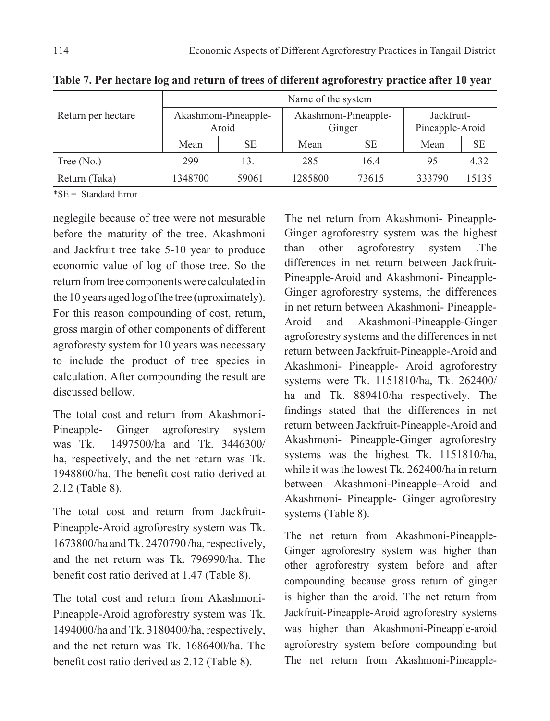|                    | Name of the system |                      |         |                      |                 |       |  |  |  |
|--------------------|--------------------|----------------------|---------|----------------------|-----------------|-------|--|--|--|
| Return per hectare |                    | Akashmoni-Pineapple- |         | Akashmoni-Pineapple- | Jackfruit-      |       |  |  |  |
|                    | Aroid              |                      |         | Ginger               | Pineapple-Aroid |       |  |  |  |
|                    | Mean               | SE                   | Mean    | SЕ                   | Mean            | SE    |  |  |  |
| Tree $(N0)$        | 299                | 13.1                 | 285     | 16.4                 | 95              | 4.32  |  |  |  |
| Return (Taka)      | 1348700            | 59061                | 1285800 | 73615                | 333790          | 15135 |  |  |  |

**Table 7. Per hectare log and return of trees of diferent agroforestry practice after 10 year** 

\*SE = Standard Error

neglegile because of tree were not mesurable before the maturity of the tree. Akashmoni and Jackfruit tree take 5-10 year to produce economic value of log of those tree. So the return from tree components were calculated in the 10 years aged log of the tree (aproximately). For this reason compounding of cost, return, gross margin of other components of different agroforesty system for 10 years was necessary to include the product of tree species in calculation. After compounding the result are discussed bellow.

The total cost and return from Akashmoni-Pineapple- Ginger agroforestry system was Tk. 1497500/ha and Tk. 3446300/ ha, respectively, and the net return was Tk. 1948800/ha. The benefit cost ratio derived at 2.12 (Table 8).

The total cost and return from Jackfruit-Pineapple-Aroid agroforestry system was Tk. 1673800/ha and Tk. 2470790 /ha, respectively, and the net return was Tk. 796990/ha. The benefit cost ratio derived at 1.47 (Table 8).

The total cost and return from Akashmoni-Pineapple-Aroid agroforestry system was Tk. 1494000/ha and Tk. 3180400/ha, respectively, and the net return was Tk. 1686400/ha. The benefit cost ratio derived as 2.12 (Table 8).

The net return from Akashmoni- Pineapple-Ginger agroforestry system was the highest than other agroforestry system .The differences in net return between Jackfruit-Pineapple-Aroid and Akashmoni- Pineapple-Ginger agroforestry systems, the differences in net return between Akashmoni- Pineapple-Aroid and Akashmoni-Pineapple-Ginger agroforestry systems and the differences in net return between Jackfruit-Pineapple-Aroid and Akashmoni- Pineapple- Aroid agroforestry systems were Tk. 1151810/ha, Tk. 262400/ ha and Tk. 889410/ha respectively. The findings stated that the differences in net return between Jackfruit-Pineapple-Aroid and Akashmoni- Pineapple-Ginger agroforestry systems was the highest Tk. 1151810/ha, while it was the lowest Tk. 262400/ha in return between Akashmoni-Pineapple–Aroid and Akashmoni- Pineapple- Ginger agroforestry systems (Table 8).

The net return from Akashmoni-Pineapple-Ginger agroforestry system was higher than other agroforestry system before and after compounding because gross return of ginger is higher than the aroid. The net return from Jackfruit-Pineapple-Aroid agroforestry systems was higher than Akashmoni-Pineapple-aroid agroforestry system before compounding but The net return from Akashmoni-Pineapple-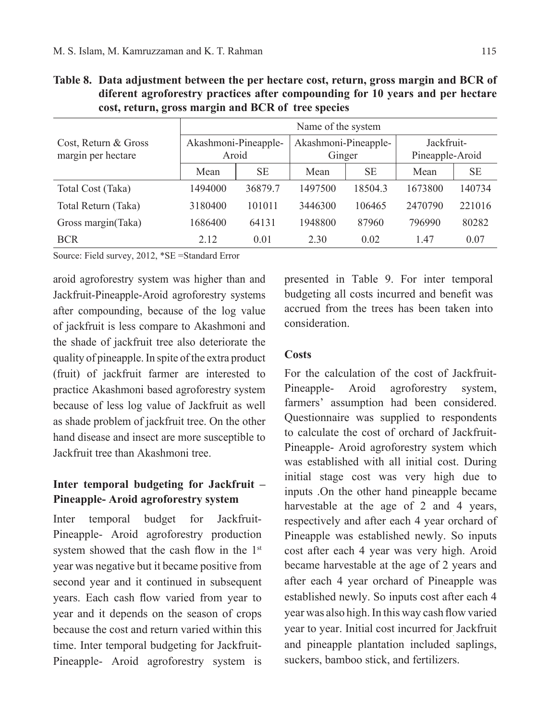|                                            | Name of the system            |         |                                |           |                               |           |  |  |  |
|--------------------------------------------|-------------------------------|---------|--------------------------------|-----------|-------------------------------|-----------|--|--|--|
| Cost, Return & Gross<br>margin per hectare | Akashmoni-Pineapple-<br>Aroid |         | Akashmoni-Pineapple-<br>Ginger |           | Jackfruit-<br>Pineapple-Aroid |           |  |  |  |
|                                            | Mean                          | SE.     | Mean                           | <b>SE</b> | Mean                          | <b>SE</b> |  |  |  |
| Total Cost (Taka)                          | 1494000                       | 36879.7 | 1497500                        | 18504.3   | 1673800                       | 140734    |  |  |  |
| Total Return (Taka)                        | 3180400                       | 101011  | 3446300                        | 106465    | 2470790                       | 221016    |  |  |  |
| Gross margin(Taka)                         | 1686400                       | 64131   | 1948800                        | 87960     | 796990                        | 80282     |  |  |  |
| <b>BCR</b>                                 | 2.12                          | 0.01    | 2.30                           | 0.02      | 1.47                          | 0.07      |  |  |  |

**Table 8. Data adjustment between the per hectare cost, return, gross margin and BCR of diferent agroforestry practices after compounding for 10 years and per hectare cost, return, gross margin and BCR of tree species**

Source: Field survey, 2012, \*SE =Standard Error

aroid agroforestry system was higher than and Jackfruit-Pineapple-Aroid agroforestry systems after compounding, because of the log value of jackfruit is less compare to Akashmoni and the shade of jackfruit tree also deteriorate the quality of pineapple. In spite of the extra product (fruit) of jackfruit farmer are interested to practice Akashmoni based agroforestry system because of less log value of Jackfruit as well as shade problem of jackfruit tree. On the other hand disease and insect are more susceptible to Jackfruit tree than Akashmoni tree.

# **Inter temporal budgeting for Jackfruit – Pineapple- Aroid agroforestry system**

Inter temporal budget for Jackfruit-Pineapple- Aroid agroforestry production system showed that the cash flow in the 1<sup>st</sup> year was negative but it became positive from second year and it continued in subsequent years. Each cash flow varied from year to year and it depends on the season of crops because the cost and return varied within this time. Inter temporal budgeting for Jackfruit-Pineapple- Aroid agroforestry system is presented in Table 9. For inter temporal budgeting all costs incurred and benefit was accrued from the trees has been taken into consideration.

## **Costs**

For the calculation of the cost of Jackfruit-Pineapple- Aroid agroforestry system, farmers' assumption had been considered. Questionnaire was supplied to respondents to calculate the cost of orchard of Jackfruit-Pineapple- Aroid agroforestry system which was established with all initial cost. During initial stage cost was very high due to inputs .On the other hand pineapple became harvestable at the age of 2 and 4 years, respectively and after each 4 year orchard of Pineapple was established newly. So inputs cost after each 4 year was very high. Aroid became harvestable at the age of 2 years and after each 4 year orchard of Pineapple was established newly. So inputs cost after each 4 year was also high. In this way cash flow varied year to year. Initial cost incurred for Jackfruit and pineapple plantation included saplings, suckers, bamboo stick, and fertilizers.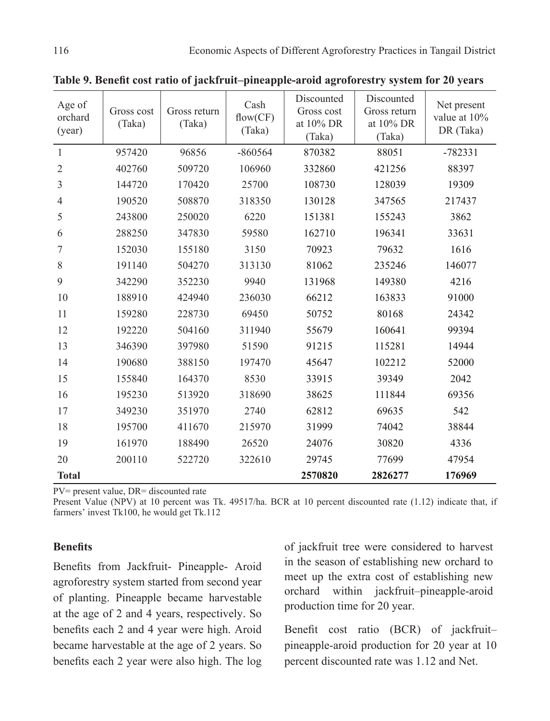| Age of<br>orchard<br>(year) | Gross cost<br>(Taka) | Gross return<br>(Taka) | Cash<br>flow(CF)<br>(Taka) | Discounted<br>Gross cost<br>at 10% DR<br>(Taka) | Discounted<br>Gross return<br>at 10% DR<br>(Taka) | Net present<br>value at 10%<br>DR (Taka) |
|-----------------------------|----------------------|------------------------|----------------------------|-------------------------------------------------|---------------------------------------------------|------------------------------------------|
| $\mathbf{1}$                | 957420               | 96856                  | $-860564$                  | 870382                                          | 88051                                             | $-782331$                                |
| $\overline{2}$              | 402760               | 509720                 | 106960                     | 332860                                          | 421256                                            | 88397                                    |
| 3                           | 144720               | 170420                 | 25700                      | 108730                                          | 128039                                            | 19309                                    |
| 4                           | 190520               | 508870                 | 318350                     | 130128                                          | 347565                                            | 217437                                   |
| 5                           | 243800               | 250020                 | 6220                       | 151381                                          | 155243                                            | 3862                                     |
| 6                           | 288250               | 347830                 | 59580                      | 162710                                          | 196341                                            | 33631                                    |
| 7                           | 152030               | 155180                 | 3150                       | 70923                                           | 79632                                             | 1616                                     |
| $8\,$                       | 191140               | 504270                 | 313130                     | 81062                                           | 235246                                            | 146077                                   |
| 9                           | 342290               | 352230                 | 9940                       | 131968                                          | 149380                                            | 4216                                     |
| 10                          | 188910               | 424940                 | 236030                     | 66212                                           | 163833                                            | 91000                                    |
| 11                          | 159280               | 228730                 | 69450                      | 50752                                           | 80168                                             | 24342                                    |
| 12                          | 192220               | 504160                 | 311940                     | 55679                                           | 160641                                            | 99394                                    |
| 13                          | 346390               | 397980                 | 51590                      | 91215                                           | 115281                                            | 14944                                    |
| 14                          | 190680               | 388150                 | 197470                     | 45647                                           | 102212                                            | 52000                                    |
| 15                          | 155840               | 164370                 | 8530                       | 33915                                           | 39349                                             | 2042                                     |
| 16                          | 195230               | 513920                 | 318690                     | 38625                                           | 111844                                            | 69356                                    |
| 17                          | 349230               | 351970                 | 2740                       | 62812                                           | 69635                                             | 542                                      |
| 18                          | 195700               | 411670                 | 215970                     | 31999                                           | 74042                                             | 38844                                    |
| 19                          | 161970               | 188490                 | 26520                      | 24076                                           | 30820                                             | 4336                                     |
| 20                          | 200110               | 522720                 | 322610                     | 29745                                           | 77699                                             | 47954                                    |
| <b>Total</b>                |                      |                        |                            | 2570820                                         | 2826277                                           | 176969                                   |

**Table 9. Benefit cost ratio of jackfruit–pineapple-aroid agroforestry system for 20 years**

PV= present value, DR= discounted rate

Present Value (NPV) at 10 percent was Tk. 49517/ha. BCR at 10 percent discounted rate (1.12) indicate that, if farmers' invest Tk100, he would get Tk.112

#### **Benefits**

Benefits from Jackfruit- Pineapple- Aroid agroforestry system started from second year of planting. Pineapple became harvestable at the age of 2 and 4 years, respectively. So benefits each 2 and 4 year were high. Aroid became harvestable at the age of 2 years. So benefits each 2 year were also high. The log

of jackfruit tree were considered to harvest in the season of establishing new orchard to meet up the extra cost of establishing new orchard within jackfruit–pineapple-aroid production time for 20 year.

Benefit cost ratio (BCR) of jackfruit– pineapple-aroid production for 20 year at 10 percent discounted rate was 1.12 and Net.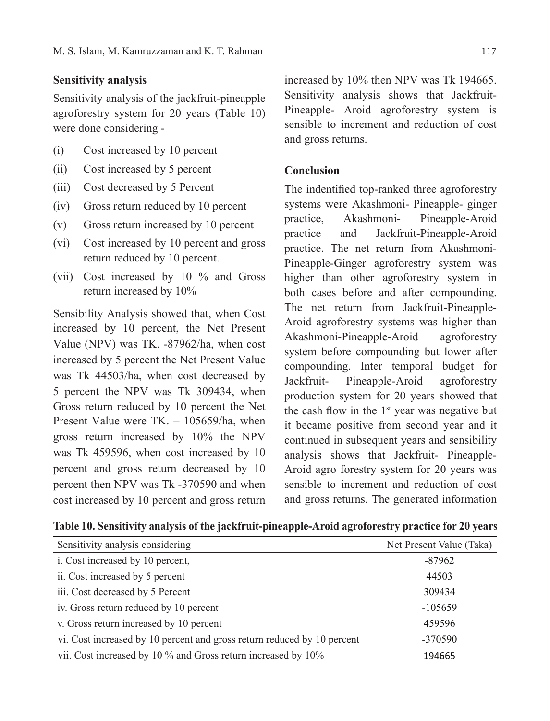## **Sensitivity analysis**

Sensitivity analysis of the jackfruit-pineapple agroforestry system for 20 years (Table 10) were done considering -

- (i) Cost increased by 10 percent
- (ii) Cost increased by 5 percent
- (iii) Cost decreased by 5 Percent
- (iv) Gross return reduced by 10 percent
- (v) Gross return increased by 10 percent
- (vi) Cost increased by 10 percent and gross return reduced by 10 percent.
- (vii) Cost increased by 10 % and Gross return increased by 10%

Sensibility Analysis showed that, when Cost increased by 10 percent, the Net Present Value (NPV) was TK. -87962/ha, when cost increased by 5 percent the Net Present Value was Tk 44503/ha, when cost decreased by 5 percent the NPV was Tk 309434, when Gross return reduced by 10 percent the Net Present Value were TK. – 105659/ha, when gross return increased by 10% the NPV was Tk 459596, when cost increased by 10 percent and gross return decreased by 10 percent then NPV was Tk -370590 and when cost increased by 10 percent and gross return

increased by 10% then NPV was Tk 194665. Sensitivity analysis shows that Jackfruit-Pineapple- Aroid agroforestry system is sensible to increment and reduction of cost and gross returns.

## **Conclusion**

The indentified top-ranked three agroforestry systems were Akashmoni- Pineapple- ginger practice, Akashmoni- Pineapple-Aroid practice and Jackfruit-Pineapple-Aroid practice. The net return from Akashmoni-Pineapple-Ginger agroforestry system was higher than other agroforestry system in both cases before and after compounding. The net return from Jackfruit-Pineapple-Aroid agroforestry systems was higher than Akashmoni-Pineapple-Aroid agroforestry system before compounding but lower after compounding. Inter temporal budget for Jackfruit- Pineapple-Aroid agroforestry production system for 20 years showed that the cash flow in the  $1<sup>st</sup>$  year was negative but it became positive from second year and it continued in subsequent years and sensibility analysis shows that Jackfruit- Pineapple-Aroid agro forestry system for 20 years was sensible to increment and reduction of cost and gross returns. The generated information

| Sensitivity analysis considering                                        | Net Present Value (Taka) |
|-------------------------------------------------------------------------|--------------------------|
| i. Cost increased by 10 percent,                                        | $-87962$                 |
| ii. Cost increased by 5 percent                                         | 44503                    |
| iii. Cost decreased by 5 Percent                                        | 309434                   |
| iv. Gross return reduced by 10 percent                                  | $-105659$                |
| v. Gross return increased by 10 percent                                 | 459596                   |
| vi. Cost increased by 10 percent and gross return reduced by 10 percent | $-370590$                |
| vii. Cost increased by 10 % and Gross return increased by 10%           | 194665                   |

**Table 10. Sensitivity analysis of the jackfruit-pineapple-Aroid agroforestry practice for 20 years**